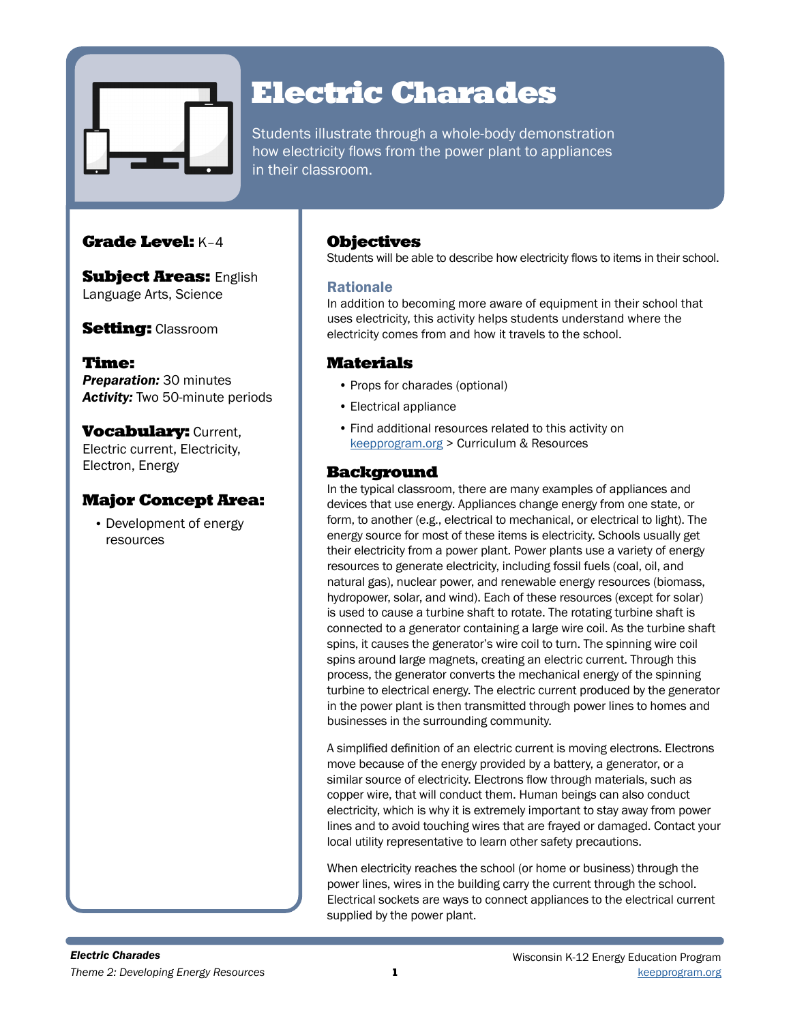

# Electric Charades

Students illustrate through a whole-body demonstration how electricity flows from the power plant to appliances in their classroom.

# Grade Level: K–4

**Subject Areas: English** Language Arts, Science

**Setting: Classroom** 

Time: *Preparation:* 30 minutes *Activity:* Two 50-minute periods

**Vocabulary: Current,** Electric current, Electricity, Electron, Energy

# Major Concept Area:

• Development of energy resources

## **Objectives**

Students will be able to describe how electricity flows to items in their school.

## Rationale

In addition to becoming more aware of equipment in their school that uses electricity, this activity helps students understand where the electricity comes from and how it travels to the school.

# **Materials**

- Props for charades (optional)
- Electrical appliance
- Find additional resources related to this activity on [keepprogram.org](http://keepprogram.org) > Curriculum & Resources

# Background

In the typical classroom, there are many examples of appliances and devices that use energy. Appliances change energy from one state, or form, to another (e.g., electrical to mechanical, or electrical to light). The energy source for most of these items is electricity. Schools usually get their electricity from a power plant. Power plants use a variety of energy resources to generate electricity, including fossil fuels (coal, oil, and natural gas), nuclear power, and renewable energy resources (biomass, hydropower, solar, and wind). Each of these resources (except for solar) is used to cause a turbine shaft to rotate. The rotating turbine shaft is connected to a generator containing a large wire coil. As the turbine shaft spins, it causes the generator's wire coil to turn. The spinning wire coil spins around large magnets, creating an electric current. Through this process, the generator converts the mechanical energy of the spinning turbine to electrical energy. The electric current produced by the generator in the power plant is then transmitted through power lines to homes and businesses in the surrounding community.

A simplified definition of an electric current is moving electrons. Electrons move because of the energy provided by a battery, a generator, or a similar source of electricity. Electrons flow through materials, such as copper wire, that will conduct them. Human beings can also conduct electricity, which is why it is extremely important to stay away from power lines and to avoid touching wires that are frayed or damaged. Contact your local utility representative to learn other safety precautions.

When electricity reaches the school (or home or business) through the power lines, wires in the building carry the current through the school. Electrical sockets are ways to connect appliances to the electrical current supplied by the power plant.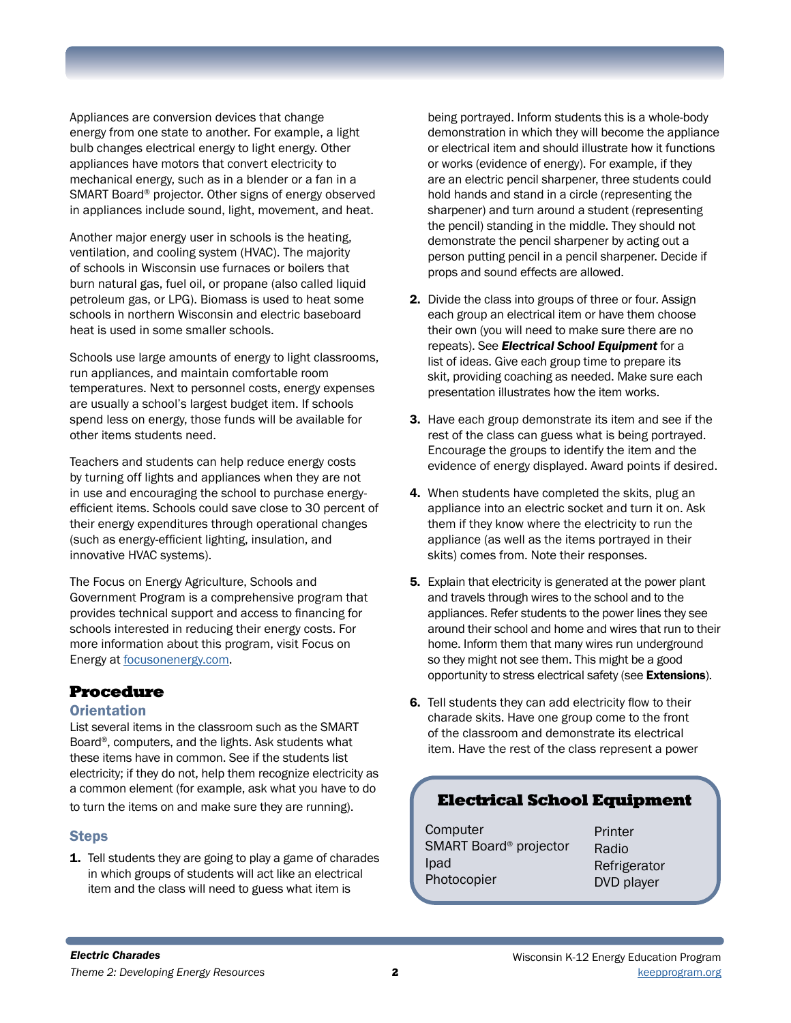Appliances are conversion devices that change energy from one state to another. For example, a light bulb changes electrical energy to light energy. Other appliances have motors that convert electricity to mechanical energy, such as in a blender or a fan in a SMART Board® projector. Other signs of energy observed in appliances include sound, light, movement, and heat.

Another major energy user in schools is the heating, ventilation, and cooling system (HVAC). The majority of schools in Wisconsin use furnaces or boilers that burn natural gas, fuel oil, or propane (also called liquid petroleum gas, or LPG). Biomass is used to heat some schools in northern Wisconsin and electric baseboard heat is used in some smaller schools.

Schools use large amounts of energy to light classrooms, run appliances, and maintain comfortable room temperatures. Next to personnel costs, energy expenses are usually a school's largest budget item. If schools spend less on energy, those funds will be available for other items students need.

Teachers and students can help reduce energy costs by turning off lights and appliances when they are not in use and encouraging the school to purchase energyefficient items. Schools could save close to 30 percent of their energy expenditures through operational changes (such as energy-efficient lighting, insulation, and innovative HVAC systems).

The Focus on Energy Agriculture, Schools and Government Program is a comprehensive program that provides technical support and access to financing for schools interested in reducing their energy costs. For more information about this program, visit Focus on Energy at [focusonenergy.com](http://focusonenergy.com).

## Procedure

## **Orientation**

List several items in the classroom such as the SMART Board®, computers, and the lights. Ask students what these items have in common. See if the students list electricity; if they do not, help them recognize electricity as a common element (for example, ask what you have to do to turn the items on and make sure they are running).

## Steps

1. Tell students they are going to play a game of charades in which groups of students will act like an electrical item and the class will need to guess what item is

being portrayed. Inform students this is a whole-body demonstration in which they will become the appliance or electrical item and should illustrate how it functions or works (evidence of energy). For example, if they are an electric pencil sharpener, three students could hold hands and stand in a circle (representing the sharpener) and turn around a student (representing the pencil) standing in the middle. They should not demonstrate the pencil sharpener by acting out a person putting pencil in a pencil sharpener. Decide if props and sound effects are allowed.

- 2. Divide the class into groups of three or four. Assign each group an electrical item or have them choose their own (you will need to make sure there are no repeats). See *Electrical School Equipment* for a list of ideas. Give each group time to prepare its skit, providing coaching as needed. Make sure each presentation illustrates how the item works.
- 3. Have each group demonstrate its item and see if the rest of the class can guess what is being portrayed. Encourage the groups to identify the item and the evidence of energy displayed. Award points if desired.
- 4. When students have completed the skits, plug an appliance into an electric socket and turn it on. Ask them if they know where the electricity to run the appliance (as well as the items portrayed in their skits) comes from. Note their responses.
- **5.** Explain that electricity is generated at the power plant and travels through wires to the school and to the appliances. Refer students to the power lines they see around their school and home and wires that run to their home. Inform them that many wires run underground so they might not see them. This might be a good opportunity to stress electrical safety (see Extensions).
- 6. Tell students they can add electricity flow to their charade skits. Have one group come to the front of the classroom and demonstrate its electrical item. Have the rest of the class represent a power

# Electrical School Equipment

| Computer                           | Printer      |
|------------------------------------|--------------|
| SMART Board <sup>®</sup> projector | Radio        |
| Ipad                               | Refrigerator |
| Photocopier                        | DVD player   |